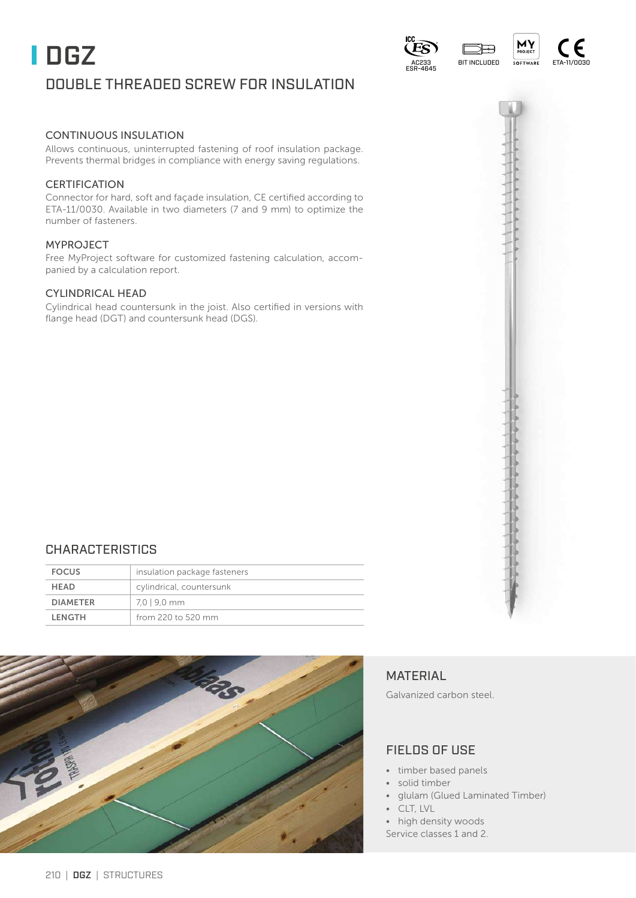# CONTINUOUS INSULATION

Allows continuous, uninterrupted fastening of roof insulation package. Prevents thermal bridges in compliance with energy saving regulations.

### **CERTIFICATION**

Connector for hard, soft and façade insulation, CE certified according to ETA-11/0030. Available in two diameters (7 and 9 mm) to optimize the number of fasteners.

#### MYPROJECT

Free MyProject software for customized fastening calculation, accompanied by a calculation report.

#### CYLINDRICAL HEAD

Cylindrical head countersunk in the joist. Also certified in versions with flange head (DGT) and countersunk head (DGS).

# FOCUS insulation package fasteners

CHARACTERISTICS

| <b>FULUS</b>    | Trisulation package lasteriers |
|-----------------|--------------------------------|
| <b>HEAD</b>     | cylindrical, countersunk       |
| <b>DIAMETER</b> | 7.0   9.0 mm                   |
| LENGTH          | from 220 to 520 mm             |



# MATERIAL

Galvanized carbon steel.

# FIELDS OF USE

- timber based panels
- solid timber
- glulam (Glued Laminated Timber)
- CLT, LVL
- high density woods
- Service classes 1 and 2.

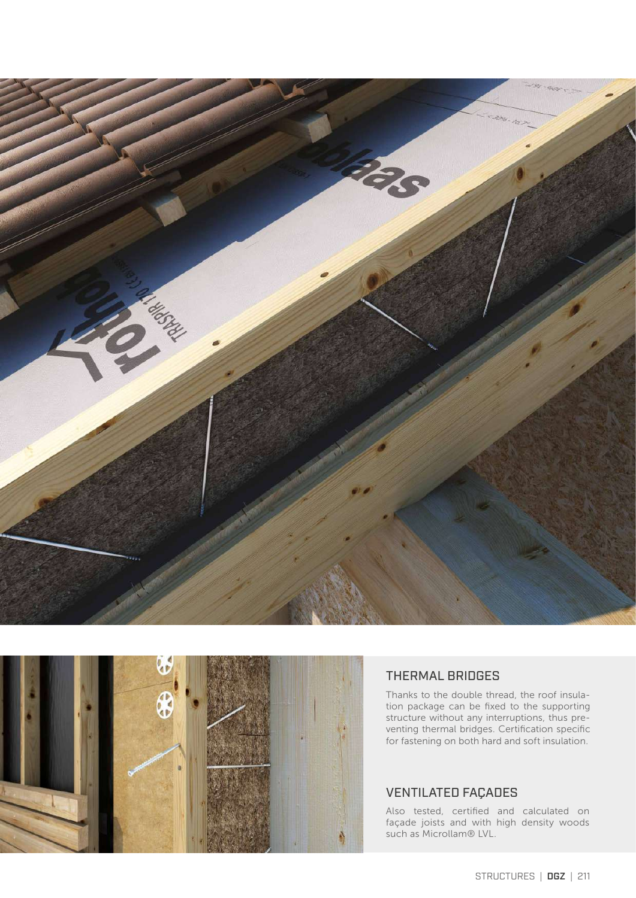



# THERMAL BRIDGES

Thanks to the double thread, the roof insulation package can be fixed to the supporting structure without any interruptions, thus preventing thermal bridges. Certification specific for fastening on both hard and soft insulation.

## VENTILATED FAÇADES

Also tested, certified and calculated on façade joists and with high density woods such as Microllam® LVL.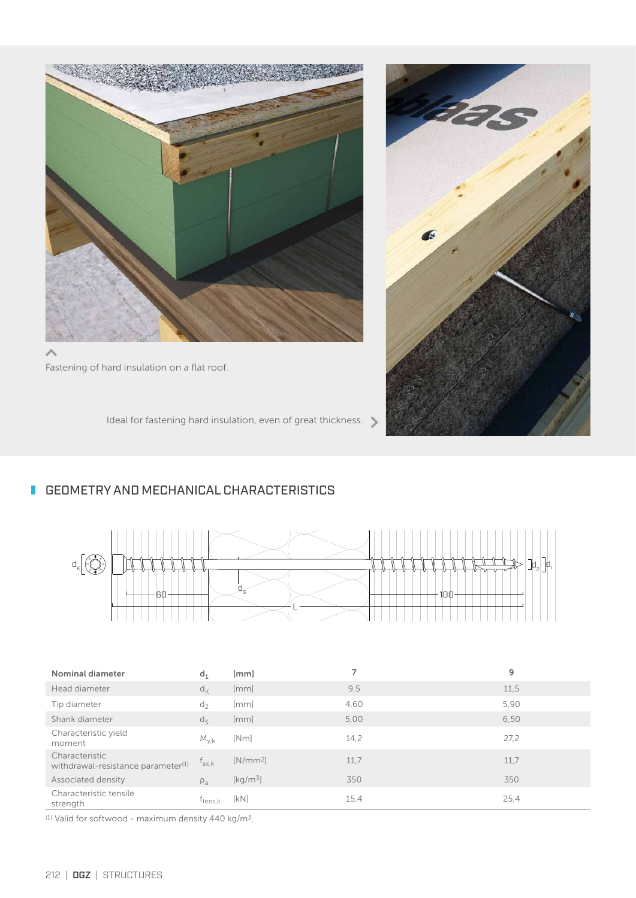

Fastening of hard insulation on a flat roof.

Ideal for fastening hard insulation, even of great thickness.



# **GEOMETRY AND MECHANICAL CHARACTERISTICS**



| Nominal diameter                                                 | $d_1$               | [mm]                                    | 7    | 9    |
|------------------------------------------------------------------|---------------------|-----------------------------------------|------|------|
| Head diameter                                                    | $d_{K}$             | [mm]                                    | 9,5  | 11,5 |
| Tip diameter                                                     | $d_{2}$             | [mm]                                    | 4,60 | 5,90 |
| Shank diameter                                                   | $d_{\le}$           | [mm]                                    | 5,00 | 6.50 |
| Characteristic yield<br>moment                                   | $M_{y,k}$           | [Nm]                                    | 14,2 | 27,2 |
| Characteristic<br>withdrawal-resistance parameter <sup>(1)</sup> | $f_{ax,k}$          | $[N/mm^2]$                              | 11.7 | 11,7 |
| Associated density                                               | $\rho_a$            | $\left[\mathrm{kg}/\mathrm{m}^3\right]$ | 350  | 350  |
| Characteristic tensile<br>strength                               | T <sub>tens.k</sub> | [KN]                                    | 15,4 | 25,4 |

 $(1)$  Valid for softwood - maximum density 440 kg/m<sup>3</sup>.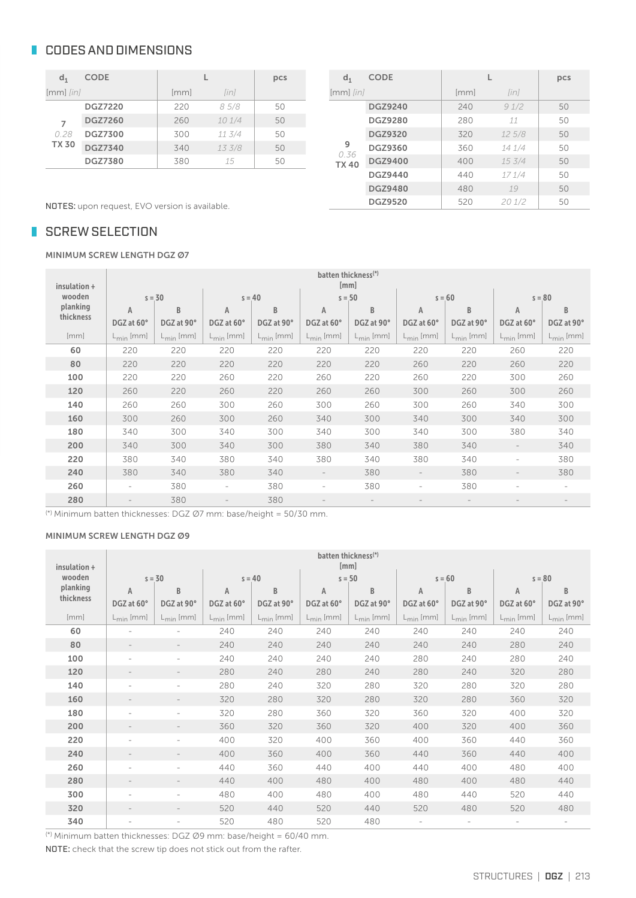# **CODES AND DIMENSIONS**

| $d_1$         | <b>CODE</b>    |      | pcs    |    |
|---------------|----------------|------|--------|----|
| $[mm]$ $[in]$ |                | [mm] | [in]   |    |
|               | <b>DGZ7220</b> | 220  | 85/8   | 50 |
| 7             | <b>DGZ7260</b> | 260  | 101/4  | 50 |
| 0.28          | <b>DGZ7300</b> | 300  | 11.3/4 | 50 |
| <b>TX 30</b>  | <b>DGZ7340</b> | 340  | 133/8  | 50 |
|               | <b>DGZ7380</b> | 380  | 15     | 50 |

| d <sub>1</sub>      | <b>CODE</b>    |      |             | pcs |
|---------------------|----------------|------|-------------|-----|
| $[mm]$ $[in]$       |                | [mm] | <i>linl</i> |     |
|                     | <b>DGZ9240</b> | 240  | 91/2        | 50  |
|                     | <b>DGZ9280</b> | 280  | 11          | 50  |
|                     | <b>DGZ9320</b> | 320  | 125/8       | 50  |
| 9                   | <b>DGZ9360</b> | 360  | 14 1/4      | 50  |
| 0.36<br><b>TX40</b> | <b>DGZ9400</b> | 400  | 153/4       | 50  |
|                     | <b>DGZ9440</b> | 440  | 171/4       | 50  |
|                     | <b>DGZ9480</b> | 480  | 19          | 50  |
|                     | <b>DGZ9520</b> | 520  | 201/2       | 50  |

NOTES: upon request, EVO version is available.

# SCREW SELECTION

MINIMUM SCREW LENGTH DGZ Ø7

| insulation + |                |                |                          |                       |                          | batten thickness <sup>(*)</sup><br>[mm] |                          |                       |                       |                |
|--------------|----------------|----------------|--------------------------|-----------------------|--------------------------|-----------------------------------------|--------------------------|-----------------------|-----------------------|----------------|
| wooden       |                | $s = 30$       | $s = 40$                 |                       |                          | $s = 50$                                | $s = 60$                 |                       |                       | $s = 80$       |
| planking     | A              | B              | $\mathsf{A}$             | B                     | Α                        | B                                       | $\overline{A}$           | B                     | A                     | B              |
| thickness    | DGZ at 60°     | DGZ at 90°     | DGZ at 60°               | DGZ at 90°            | DGZ at 60°               | DGZ at 90°                              | DGZ at 60°               | DGZ at 90°            | DGZ at 60°            | DGZ at 90°     |
| [mm]         | $L_{min}$ [mm] | $L_{min}$ [mm] | $L_{min}$ [mm]           | $L_{\text{min}}$ [mm] | $L_{min}$ [mm]           | $L_{\text{min}}$ [mm]                   | $L_{min}$ [mm]           | $L_{\text{min}}$ [mm] | $L_{\text{min}}$ [mm] | $L_{min}$ [mm] |
| 60           | 220            | 220            | 220                      | 220                   | 220                      | 220                                     | 220                      | 220                   | 260                   | 220            |
| 80           | 220            | 220            | 220                      | 220                   | 220                      | 220                                     | 260                      | 220                   | 260                   | 220            |
| 100          | 220            | 220            | 260                      | 220                   | 260                      | 220                                     | 260                      | 220                   | 300                   | 260            |
| 120          | 260            | 220            | 260                      | 220                   | 260                      | 260                                     | 300                      | 260                   | 300                   | 260            |
| 140          | 260            | 260            | 300                      | 260                   | 300                      | 260                                     | 300                      | 260                   | 340                   | 300            |
| 160          | 300            | 260            | 300                      | 260                   | 340                      | 300                                     | 340                      | 300                   | 340                   | 300            |
| 180          | 340            | 300            | 340                      | 300                   | 340                      | 300                                     | 340                      | 300                   | 380                   | 340            |
| 200          | 340            | 300            | 340                      | 300                   | 380                      | 340                                     | 380                      | 340                   |                       | 340            |
| 220          | 380            | 340            | 380                      | 340                   | 380                      | 340                                     | 380                      | 340                   | $\sim$                | 380            |
| 240          | 380            | 340            | 380                      | 340                   | $\overline{\phantom{a}}$ | 380                                     | $\overline{\phantom{a}}$ | 380                   |                       | 380            |
| 260          | $\sim$         | 380            | $\overline{\phantom{0}}$ | 380                   | $\sim$                   | 380                                     | $\overline{\phantom{a}}$ | 380                   | ۰                     | $\sim$         |
| 280          |                | 380            |                          | 380                   | $\overline{\phantom{a}}$ |                                         |                          |                       |                       |                |

(\*) Minimum batten thicknesses: DGZ Ø7 mm: base/height = 50/30 mm.

#### MINIMUM SCREW LENGTH DGZ Ø9

| insulation + | batten thickness <sup>(*)</sup><br>[mm] |                          |                       |                |                       |                       |                          |                          |                          |                          |
|--------------|-----------------------------------------|--------------------------|-----------------------|----------------|-----------------------|-----------------------|--------------------------|--------------------------|--------------------------|--------------------------|
| wooden       |                                         | $s = 30$                 | $s = 40$              |                | $s = 50$              |                       |                          | $s = 60$                 |                          | $s = 80$                 |
| planking     | $\mathsf{A}$                            | B                        | $\mathsf{A}$          | B              | $\mathsf{A}$          | B                     | $\mathsf{A}$             | B                        | A                        | B                        |
| thickness    | DGZ at 60°                              | DGZ at 90°               | DGZ at 60°            | DGZ at 90°     | DGZ at 60°            | DGZ at 90°            | DGZ at 60°               | DGZ at 90°               | DGZ at 60°               | DGZ at 90°               |
| [mm]         | $L_{min}$ [mm]                          | $L_{\text{min}}$ [mm]    | $L_{\text{min}}$ [mm] | $L_{min}$ [mm] | $L_{\text{min}}$ [mm] | $L_{\text{min}}$ [mm] | $L_{\text{min}}$ [mm]    | $L_{min}$ [mm]           | $L_{\text{min}}$ [mm]    | $L_{\text{min}}$ [mm]    |
| 60           |                                         | $\overline{\phantom{a}}$ | 240                   | 240            | 240                   | 240                   | 240                      | 240                      | 240                      | 240                      |
| 80           |                                         | $\overline{\phantom{a}}$ | 240                   | 240            | 240                   | 240                   | 240                      | 240                      | 280                      | 240                      |
| 100          |                                         | $\overline{\phantom{a}}$ | 240                   | 240            | 240                   | 240                   | 280                      | 240                      | 280                      | 240                      |
| 120          |                                         | $\overline{\phantom{a}}$ | 280                   | 240            | 280                   | 240                   | 280                      | 240                      | 320                      | 280                      |
| 140          |                                         | $\sim$                   | 280                   | 240            | 320                   | 280                   | 320                      | 280                      | 320                      | 280                      |
| 160          | $\qquad \qquad =$                       | $\overline{\phantom{a}}$ | 320                   | 280            | 320                   | 280                   | 320                      | 280                      | 360                      | 320                      |
| 180          |                                         | $\overline{\phantom{a}}$ | 320                   | 280            | 360                   | 320                   | 360                      | 320                      | 400                      | 320                      |
| 200          |                                         |                          | 360                   | 320            | 360                   | 320                   | 400                      | 320                      | 400                      | 360                      |
| 220          |                                         | $\overline{\phantom{a}}$ | 400                   | 320            | 400                   | 360                   | 400                      | 360                      | 440                      | 360                      |
| 240          |                                         | $\overline{\phantom{a}}$ | 400                   | 360            | 400                   | 360                   | 440                      | 360                      | 440                      | 400                      |
| 260          | ٠                                       | $\sim$                   | 440                   | 360            | 440                   | 400                   | 440                      | 400                      | 480                      | 400                      |
| 280          |                                         |                          | 440                   | 400            | 480                   | 400                   | 480                      | 400                      | 480                      | 440                      |
| 300          | $\overline{\phantom{a}}$                | $\overline{\phantom{a}}$ | 480                   | 400            | 480                   | 400                   | 480                      | 440                      | 520                      | 440                      |
| 320          |                                         | $\overline{\phantom{a}}$ | 520                   | 440            | 520                   | 440                   | 520                      | 480                      | 520                      | 480                      |
| 340          | ٠                                       | $\overline{\phantom{a}}$ | 520                   | 480            | 520                   | 480                   | $\overline{\phantom{a}}$ | $\overline{\phantom{a}}$ | $\overline{\phantom{a}}$ | $\overline{\phantom{a}}$ |

 $(*)$  Minimum batten thicknesses: DGZ Ø9 mm: base/height = 60/40 mm.

NOTE: check that the screw tip does not stick out from the rafter.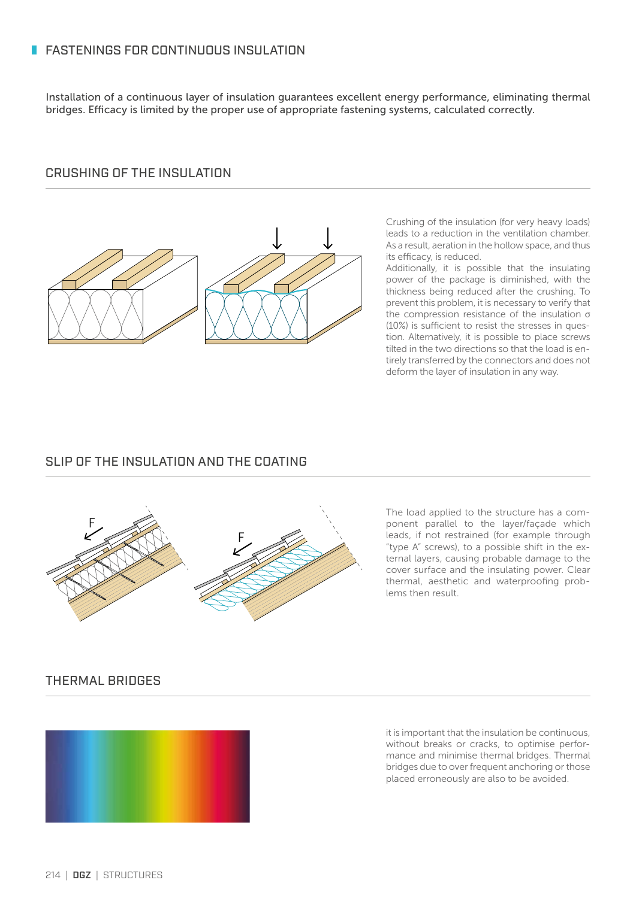# **FASTENINGS FOR CONTINUOUS INSULATION**

Installation of a continuous layer of insulation guarantees excellent energy performance, eliminating thermal bridges. Efficacy is limited by the proper use of appropriate fastening systems, calculated correctly.

# CRUSHING OF THE INSULATION



Crushing of the insulation (for very heavy loads) leads to a reduction in the ventilation chamber. As a result, aeration in the hollow space, and thus its efficacy, is reduced.

Additionally, it is possible that the insulating power of the package is diminished, with the thickness being reduced after the crushing. To prevent this problem, it is necessary to verify that the compression resistance of the insulation σ (10%) is sufficient to resist the stresses in question. Alternatively, it is possible to place screws tilted in the two directions so that the load is entirely transferred by the connectors and does not deform the layer of insulation in any way.

# SLIP OF THE INSULATION AND THE COATING



The load applied to the structure has a component parallel to the layer/façade which leads, if not restrained (for example through "type A" screws), to a possible shift in the external layers, causing probable damage to the cover surface and the insulating power. Clear thermal, aesthetic and waterproofing problems then result.

### THERMAL BRIDGES



it is important that the insulation be continuous, without breaks or cracks, to optimise performance and minimise thermal bridges. Thermal bridges due to over frequent anchoring or those placed erroneously are also to be avoided.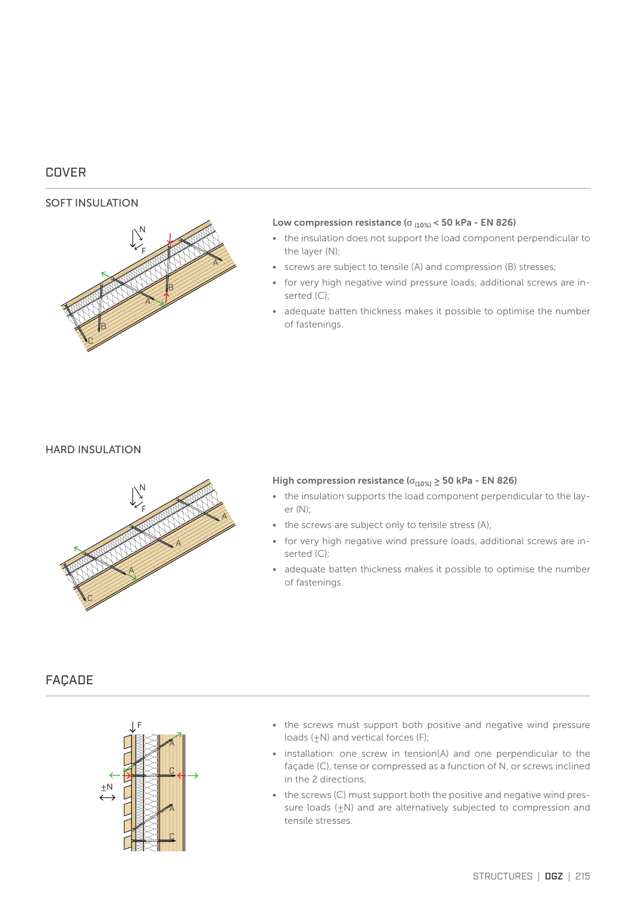# COVER

#### SOFT INSULATION



#### Low compression resistance ( $\sigma$ <sub>(10%)</sub> < 50 kPa - EN 826)

- the insulation does not support the load component perpendicular to the layer (N);
- screws are subject to tensile (A) and compression (B) stresses;
- for very high negative wind pressure loads, additional screws are inserted (C);
- adequate batten thickness makes it possible to optimise the number of fastenings.

#### HARD INSULATION



#### High compression resistance ( $\sigma_{(10\%)} \ge 50$  kPa - EN 826)

- the insulation supports the load component perpendicular to the layer (N);
- the screws are subject only to tensile stress (A);
- for very high negative wind pressure loads, additional screws are inserted (C);
- adequate batten thickness makes it possible to optimise the number of fastenings.

# FAÇADE



- the screws must support both positive and negative wind pressure loads  $(\pm N)$  and vertical forces (F);
- installation: one screw in tension(A) and one perpendicular to the façade (C), tense or compressed as a function of N, or screws inclined in the 2 directions;
- the screws (C) must support both the positive and negative wind pressure loads (+N) and are alternatively subjected to compression and tensile stresses.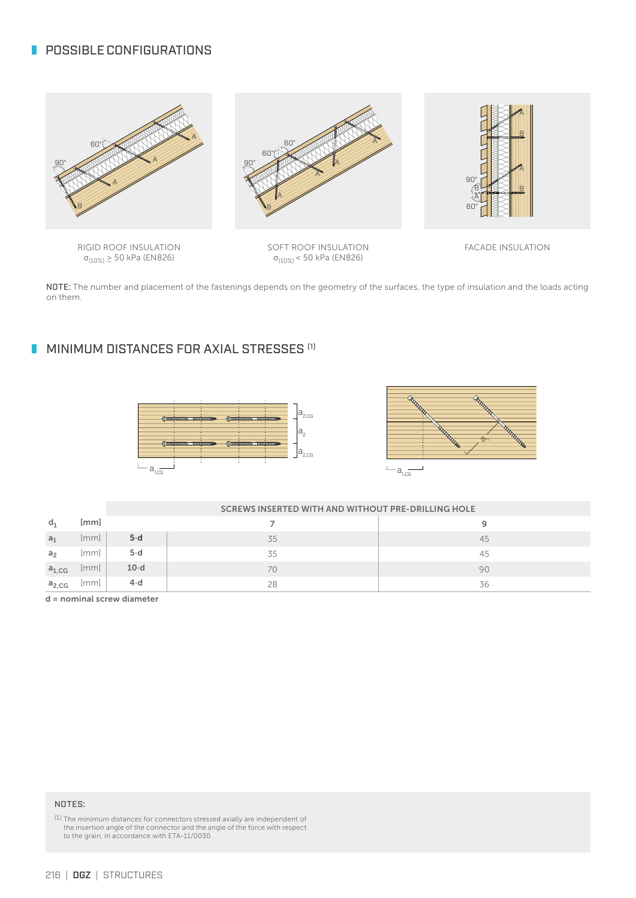# **POSSIBLE CONFIGURATIONS**



RIGID ROOF INSULATION σ(10%) ≥ 50 kPa (EN826)

SOFT ROOF INSULATION σ(10%) < 50 kPa (EN826)

FACADE INSULATION

NOTE: The number and placement of the fastenings depends on the geometry of the surfaces, the type of insulation and the loads acting on them.

# **MINIMUM DISTANCES FOR AXIAL STRESSES [1]**





|                |                      | <b>SCREWS INSERTED WITH AND WITHOUT PRE-DRILLING HOLE</b> |    |    |  |  |  |  |
|----------------|----------------------|-----------------------------------------------------------|----|----|--|--|--|--|
| $d_1$          | [mm]                 |                                                           |    |    |  |  |  |  |
| a <sub>1</sub> | [mm]                 | $5-d$                                                     | 35 | 45 |  |  |  |  |
| a <sub>2</sub> | $\lfloor mm \rfloor$ | $5-d$                                                     | 35 | 45 |  |  |  |  |
| $a_{1,CG}$     | [mm]                 | $10-d$                                                    | 70 | 90 |  |  |  |  |
| $a_{2,CG}$     | $\lfloor mm \rfloor$ | $4-d$                                                     | 28 | 36 |  |  |  |  |

d = nominal screw diameter

#### NOTES:

(1) The minimum distances for connectors stressed axially are independent of the insertion angle of the connector and the angle of the force with respect to the grain, in accordance with ETA-11/0030.